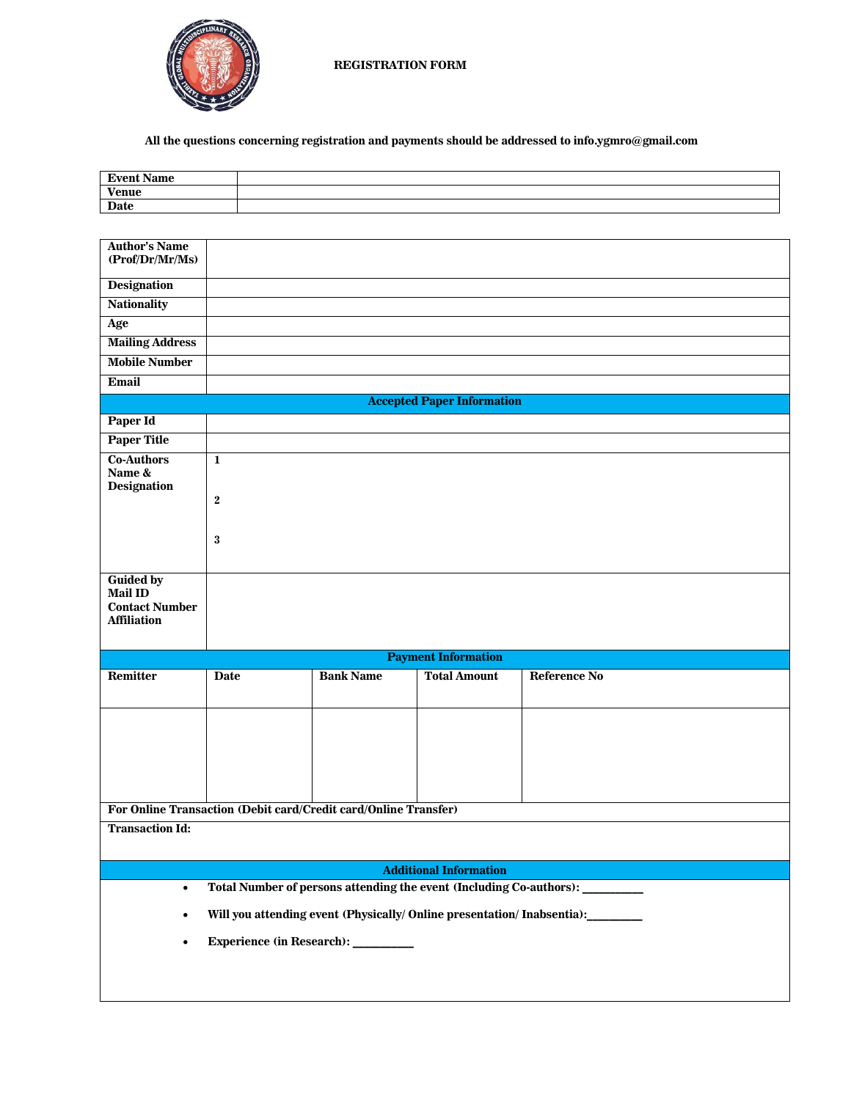

**All the questions concerning registration and payments should be addressed to info.ygmro@gmail.com**

| <b>Event Name</b>                                                                                 |              |  |                  |                     |                     |  |
|---------------------------------------------------------------------------------------------------|--------------|--|------------------|---------------------|---------------------|--|
| <b>Venue</b>                                                                                      |              |  |                  |                     |                     |  |
| <b>Date</b>                                                                                       |              |  |                  |                     |                     |  |
|                                                                                                   |              |  |                  |                     |                     |  |
| <b>Author's Name</b>                                                                              |              |  |                  |                     |                     |  |
| (Prof/Dr/Mr/Ms)                                                                                   |              |  |                  |                     |                     |  |
| <b>Designation</b>                                                                                |              |  |                  |                     |                     |  |
| <b>Nationality</b>                                                                                |              |  |                  |                     |                     |  |
| Age                                                                                               |              |  |                  |                     |                     |  |
| <b>Mailing Address</b>                                                                            |              |  |                  |                     |                     |  |
| <b>Mobile Number</b>                                                                              |              |  |                  |                     |                     |  |
|                                                                                                   |              |  |                  |                     |                     |  |
| Email                                                                                             |              |  |                  |                     |                     |  |
| <b>Accepted Paper Information</b>                                                                 |              |  |                  |                     |                     |  |
| Paper Id                                                                                          |              |  |                  |                     |                     |  |
| <b>Paper Title</b>                                                                                |              |  |                  |                     |                     |  |
| <b>Co-Authors</b>                                                                                 | $\mathbf 1$  |  |                  |                     |                     |  |
| Name &<br><b>Designation</b>                                                                      |              |  |                  |                     |                     |  |
|                                                                                                   | $\mathbf{2}$ |  |                  |                     |                     |  |
|                                                                                                   |              |  |                  |                     |                     |  |
|                                                                                                   | 3            |  |                  |                     |                     |  |
|                                                                                                   |              |  |                  |                     |                     |  |
|                                                                                                   |              |  |                  |                     |                     |  |
| <b>Guided by</b><br><b>Mail ID</b>                                                                |              |  |                  |                     |                     |  |
| <b>Contact Number</b>                                                                             |              |  |                  |                     |                     |  |
| <b>Affiliation</b>                                                                                |              |  |                  |                     |                     |  |
|                                                                                                   |              |  |                  |                     |                     |  |
| <b>Payment Information</b>                                                                        |              |  |                  |                     |                     |  |
| Remitter                                                                                          | Date         |  | <b>Bank Name</b> | <b>Total Amount</b> | <b>Reference No</b> |  |
|                                                                                                   |              |  |                  |                     |                     |  |
|                                                                                                   |              |  |                  |                     |                     |  |
|                                                                                                   |              |  |                  |                     |                     |  |
|                                                                                                   |              |  |                  |                     |                     |  |
|                                                                                                   |              |  |                  |                     |                     |  |
|                                                                                                   |              |  |                  |                     |                     |  |
|                                                                                                   |              |  |                  |                     |                     |  |
| For Online Transaction (Debit card/Credit card/Online Transfer)                                   |              |  |                  |                     |                     |  |
| <b>Transaction Id:</b>                                                                            |              |  |                  |                     |                     |  |
|                                                                                                   |              |  |                  |                     |                     |  |
| <b>Additional Information</b>                                                                     |              |  |                  |                     |                     |  |
| Total Number of persons attending the event (Including Co-authors): __________<br>$\bullet$       |              |  |                  |                     |                     |  |
| Will you attending event (Physically/ Online presentation/ Inabsentia):<br>_________<br>$\bullet$ |              |  |                  |                     |                     |  |
| Experience (in Research): _________<br>$\bullet$                                                  |              |  |                  |                     |                     |  |
|                                                                                                   |              |  |                  |                     |                     |  |
|                                                                                                   |              |  |                  |                     |                     |  |